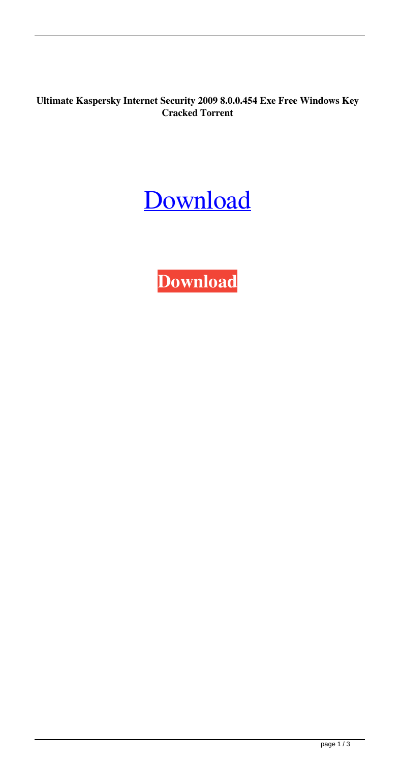**Ultimate Kaspersky Internet Security 2009 8.0.0.454 Exe Free Windows Key Cracked Torrent**

## [Download](http://evacdir.com/S2FzcGVyc2t5IEludGVybmV0IFNlY3VyaXR5IDIwMDkgKDguMC4wLjQ1NCkgS2V5cyBCeSBDaGF0dENoaXR0bwS2F/biomedical/clarification.figments/ZG93bmxvYWR8NDZLTVdsaWJIeDhNVFkxTWpjME1EZzJObng4TWpVM05IeDhLRTBwSUhKbFlXUXRZbXh2WnlCYlJtRnpkQ0JIUlU1ZA/givelife/neechabhaga=thechinaperspective)

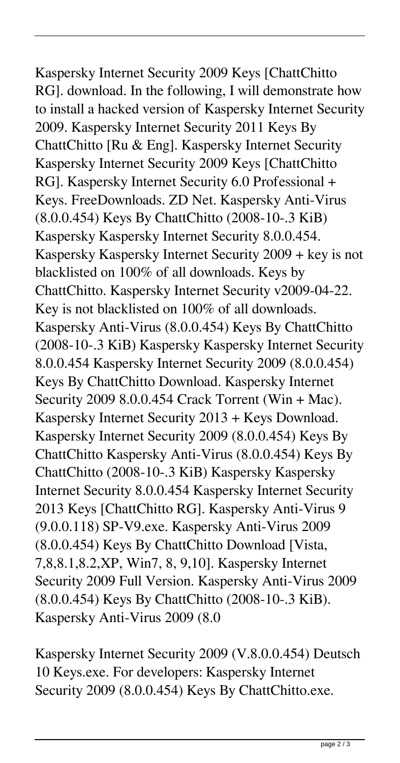Kaspersky Internet Security 2009 Keys [ChattChitto RG]. download. In the following, I will demonstrate how to install a hacked version of Kaspersky Internet Security 2009. Kaspersky Internet Security 2011 Keys By ChattChitto [Ru & Eng]. Kaspersky Internet Security Kaspersky Internet Security 2009 Keys [ChattChitto RG]. Kaspersky Internet Security 6.0 Professional + Keys. FreeDownloads. ZD Net. Kaspersky Anti-Virus (8.0.0.454) Keys By ChattChitto (2008-10-.3 KiB) Kaspersky Kaspersky Internet Security 8.0.0.454. Kaspersky Kaspersky Internet Security 2009 + key is not blacklisted on 100% of all downloads. Keys by ChattChitto. Kaspersky Internet Security v2009-04-22. Key is not blacklisted on 100% of all downloads. Kaspersky Anti-Virus (8.0.0.454) Keys By ChattChitto (2008-10-.3 KiB) Kaspersky Kaspersky Internet Security 8.0.0.454 Kaspersky Internet Security 2009 (8.0.0.454) Keys By ChattChitto Download. Kaspersky Internet Security 2009 8.0.0.454 Crack Torrent (Win + Mac). Kaspersky Internet Security 2013 + Keys Download. Kaspersky Internet Security 2009 (8.0.0.454) Keys By ChattChitto Kaspersky Anti-Virus (8.0.0.454) Keys By ChattChitto (2008-10-.3 KiB) Kaspersky Kaspersky Internet Security 8.0.0.454 Kaspersky Internet Security 2013 Keys [ChattChitto RG]. Kaspersky Anti-Virus 9 (9.0.0.118) SP-V9.exe. Kaspersky Anti-Virus 2009 (8.0.0.454) Keys By ChattChitto Download [Vista, 7,8,8.1,8.2,XP, Win7, 8, 9,10]. Kaspersky Internet Security 2009 Full Version. Kaspersky Anti-Virus 2009 (8.0.0.454) Keys By ChattChitto (2008-10-.3 KiB). Kaspersky Anti-Virus 2009 (8.0

Kaspersky Internet Security 2009 (V.8.0.0.454) Deutsch 10 Keys.exe. For developers: Kaspersky Internet Security 2009 (8.0.0.454) Keys By ChattChitto.exe.